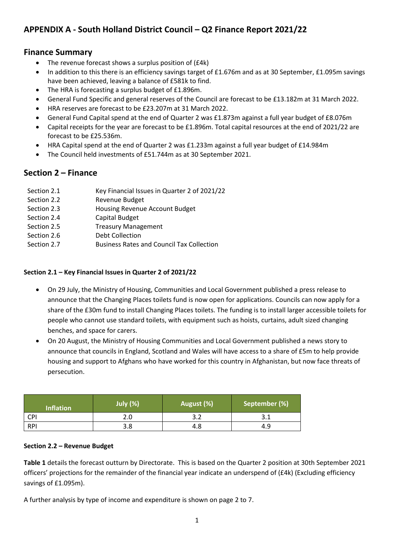# **APPENDIX A - South Holland District Council – Q2 Finance Report 2021/22**

# **Finance Summary**

- The revenue forecast shows a surplus position of (£4k)
- In addition to this there is an efficiency savings target of £1.676m and as at 30 September, £1.095m savings have been achieved, leaving a balance of £581k to find.
- The HRA is forecasting a surplus budget of £1.896m.
- General Fund Specific and general reserves of the Council are forecast to be £13.182m at 31 March 2022.
- HRA reserves are forecast to be £23.207m at 31 March 2022.
- General Fund Capital spend at the end of Quarter 2 was £1.873m against a full year budget of £8.076m
- Capital receipts for the year are forecast to be £1.896m. Total capital resources at the end of 2021/22 are forecast to be £25.536m.
- HRA Capital spend at the end of Quarter 2 was £1.233m against a full year budget of £14.984m
- The Council held investments of £51.744m as at 30 September 2021.

# **Section 2 – Finance**

| Section 2.1 | Key Financial Issues in Quarter 2 of 2021/22     |
|-------------|--------------------------------------------------|
| Section 2.2 | Revenue Budget                                   |
| Section 2.3 | Housing Revenue Account Budget                   |
| Section 2.4 | Capital Budget                                   |
| Section 2.5 | <b>Treasury Management</b>                       |
| Section 2.6 | Debt Collection                                  |
| Section 2.7 | <b>Business Rates and Council Tax Collection</b> |

#### **Section 2.1 – Key Financial Issues in Quarter 2 of 2021/22**

- On 29 July, the Ministry of Housing, Communities and Local Government published a press release to announce that the Changing Places toilets fund is now open for applications. Councils can now apply for a share of the £30m fund to install Changing Places toilets. The funding is to install larger accessible toilets for people who cannot use standard toilets, with equipment such as hoists, curtains, adult sized changing benches, and space for carers.
- On 20 August, the Ministry of Housing Communities and Local Government published a news story to announce that councils in England, Scotland and Wales will have access to a share of £5m to help provide housing and support to Afghans who have worked for this country in Afghanistan, but now face threats of persecution.

| <b>Inflation</b> | <b>July (%)</b> | August (%)   | September (%) |  |
|------------------|-----------------|--------------|---------------|--|
| CPI              | 2.0             | າ າ<br>ے . د | ـ . ـ         |  |
| <b>RPI</b>       | 3.8             | 4.8          | 4.9           |  |

#### **Section 2.2 – Revenue Budget**

**Table 1** details the forecast outturn by Directorate. This is based on the Quarter 2 position at 30th September 2021 officers' projections for the remainder of the financial year indicate an underspend of (£4k) (Excluding efficiency savings of £1.095m).

A further analysis by type of income and expenditure is shown on page 2 to 7.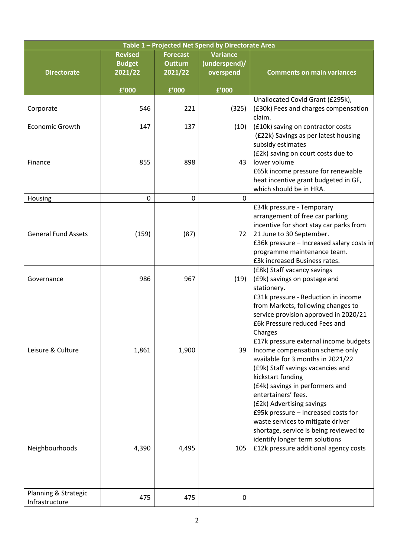| Table 1 - Projected Net Spend by Directorate Area |                                            |                                              |                                               |                                                                                                                                                                                                                                                                                                                                                                                                                                  |  |  |
|---------------------------------------------------|--------------------------------------------|----------------------------------------------|-----------------------------------------------|----------------------------------------------------------------------------------------------------------------------------------------------------------------------------------------------------------------------------------------------------------------------------------------------------------------------------------------------------------------------------------------------------------------------------------|--|--|
| <b>Directorate</b>                                | <b>Revised</b><br><b>Budget</b><br>2021/22 | <b>Forecast</b><br><b>Outturn</b><br>2021/22 | <b>Variance</b><br>(underspend)/<br>overspend | <b>Comments on main variances</b>                                                                                                                                                                                                                                                                                                                                                                                                |  |  |
|                                                   | £'000                                      | £'000                                        | £'000                                         |                                                                                                                                                                                                                                                                                                                                                                                                                                  |  |  |
| Corporate                                         | 546                                        | 221                                          | (325)                                         | Unallocated Covid Grant (£295k),<br>(£30k) Fees and charges compensation<br>claim.                                                                                                                                                                                                                                                                                                                                               |  |  |
| <b>Economic Growth</b>                            | 147                                        | 137                                          | (10)                                          | (£10k) saving on contractor costs                                                                                                                                                                                                                                                                                                                                                                                                |  |  |
| Finance                                           | 855                                        | 898                                          | 43                                            | (£22k) Savings as per latest housing<br>subsidy estimates<br>(£2k) saving on court costs due to<br>lower volume<br>£65k income pressure for renewable<br>heat incentive grant budgeted in GF,<br>which should be in HRA.                                                                                                                                                                                                         |  |  |
| Housing                                           | $\pmb{0}$                                  | $\pmb{0}$                                    | 0                                             |                                                                                                                                                                                                                                                                                                                                                                                                                                  |  |  |
| <b>General Fund Assets</b>                        | (159)                                      | (87)                                         | 72                                            | £34k pressure - Temporary<br>arrangement of free car parking<br>incentive for short stay car parks from<br>21 June to 30 September.<br>£36k pressure - Increased salary costs in<br>programme maintenance team.<br>£3k increased Business rates.                                                                                                                                                                                 |  |  |
| Governance                                        | 986                                        | 967                                          | (19)                                          | (£8k) Staff vacancy savings<br>(£9k) savings on postage and<br>stationery.                                                                                                                                                                                                                                                                                                                                                       |  |  |
| Leisure & Culture                                 | 1,861                                      | 1,900                                        | 39                                            | £31k pressure - Reduction in income<br>from Markets, following changes to<br>service provision approved in 2020/21<br>£6k Pressure reduced Fees and<br>Charges<br>£17k pressure external income budgets<br>Income compensation scheme only<br>available for 3 months in 2021/22<br>(£9k) Staff savings vacancies and<br>kickstart funding<br>(£4k) savings in performers and<br>entertainers' fees.<br>(£2k) Advertising savings |  |  |
| Neighbourhoods                                    | 4,390                                      | 4,495                                        | 105                                           | £95k pressure - Increased costs for<br>waste services to mitigate driver<br>shortage, service is being reviewed to<br>identify longer term solutions<br>£12k pressure additional agency costs                                                                                                                                                                                                                                    |  |  |
| Planning & Strategic<br>Infrastructure            | 475                                        | 475                                          | 0                                             |                                                                                                                                                                                                                                                                                                                                                                                                                                  |  |  |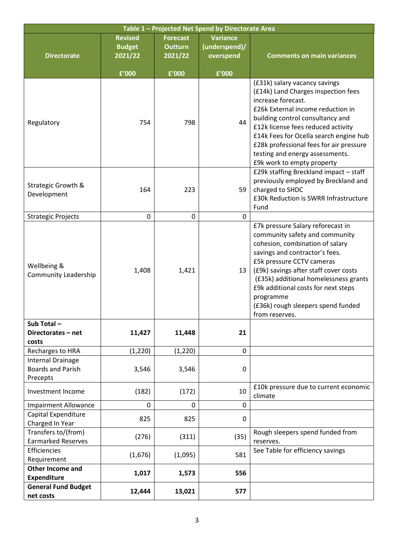| Table 1 - Projected Net Spend by Directorate Area                |                                            |                                              |                                               |                                                                                                                                                                                                                                                                                                                                                                     |  |  |  |
|------------------------------------------------------------------|--------------------------------------------|----------------------------------------------|-----------------------------------------------|---------------------------------------------------------------------------------------------------------------------------------------------------------------------------------------------------------------------------------------------------------------------------------------------------------------------------------------------------------------------|--|--|--|
| <b>Directorate</b>                                               | <b>Revised</b><br><b>Budget</b><br>2021/22 | <b>Forecast</b><br><b>Outturn</b><br>2021/22 | <b>Variance</b><br>(underspend)/<br>overspend | <b>Comments on main variances</b>                                                                                                                                                                                                                                                                                                                                   |  |  |  |
|                                                                  | £'000                                      | £'000                                        | £'000                                         |                                                                                                                                                                                                                                                                                                                                                                     |  |  |  |
| Regulatory                                                       | 754                                        | 798                                          | 44                                            | (£31k) salary vacancy savings<br>(£14k) Land Charges inspection fees<br>increase forecast.<br>£26k External income reduction in<br>building control consultancy and<br>£12k license fees reduced activity<br>£14k Fees for Ocella search engine hub<br>£28k professional fees for air pressure<br>testing and energy assessments.<br>£9k work to empty property     |  |  |  |
| Strategic Growth &<br>Development                                | 164                                        | 223                                          | 59                                            | £29k staffing Breckland impact - staff<br>previously employed by Breckland and<br>charged to SHDC<br>£30k Reduction is SWRR Infrastructure<br>Fund                                                                                                                                                                                                                  |  |  |  |
| <b>Strategic Projects</b>                                        | 0                                          | 0                                            | $\mathbf 0$                                   |                                                                                                                                                                                                                                                                                                                                                                     |  |  |  |
| Wellbeing &<br><b>Community Leadership</b>                       | 1,408                                      | 1,421                                        | 13                                            | £7k pressure Salary reforecast in<br>community safety and community<br>cohesion, combination of salary<br>savings and contractor's fees.<br>£5k pressure CCTV cameras<br>(£9k) savings after staff cover costs<br>(£35k) additional homelessness grants<br>£9k additional costs for next steps<br>programme<br>(£36k) rough sleepers spend funded<br>from reserves. |  |  |  |
| Sub Total-<br>Directorates - net<br>costs                        | 11,427                                     | 11,448                                       | 21                                            |                                                                                                                                                                                                                                                                                                                                                                     |  |  |  |
| Recharges to HRA                                                 | (1, 220)                                   | (1, 220)                                     | $\mathbf 0$                                   |                                                                                                                                                                                                                                                                                                                                                                     |  |  |  |
| <b>Internal Drainage</b><br><b>Boards and Parish</b><br>Precepts | 3,546                                      | 3,546                                        | 0                                             |                                                                                                                                                                                                                                                                                                                                                                     |  |  |  |
| Investment Income                                                | (182)                                      | (172)                                        | 10                                            | £10k pressure due to current economic<br>climate                                                                                                                                                                                                                                                                                                                    |  |  |  |
| <b>Impairment Allowance</b>                                      | 0                                          | 0                                            | 0                                             |                                                                                                                                                                                                                                                                                                                                                                     |  |  |  |
| Capital Expenditure<br>Charged In Year                           | 825                                        | 825                                          | 0                                             |                                                                                                                                                                                                                                                                                                                                                                     |  |  |  |
| Transfers to/(from)<br><b>Earmarked Reserves</b>                 | (276)                                      | (311)                                        | (35)                                          | Rough sleepers spend funded from<br>reserves.                                                                                                                                                                                                                                                                                                                       |  |  |  |
| Efficiencies<br>Requirement                                      | (1,676)                                    | (1,095)                                      | 581                                           | See Table for efficiency savings                                                                                                                                                                                                                                                                                                                                    |  |  |  |
| <b>Other Income and</b><br><b>Expenditure</b>                    | 1,017                                      | 1,573                                        | 556                                           |                                                                                                                                                                                                                                                                                                                                                                     |  |  |  |
| <b>General Fund Budget</b><br>net costs                          | 12,444                                     | 13,021                                       | 577                                           |                                                                                                                                                                                                                                                                                                                                                                     |  |  |  |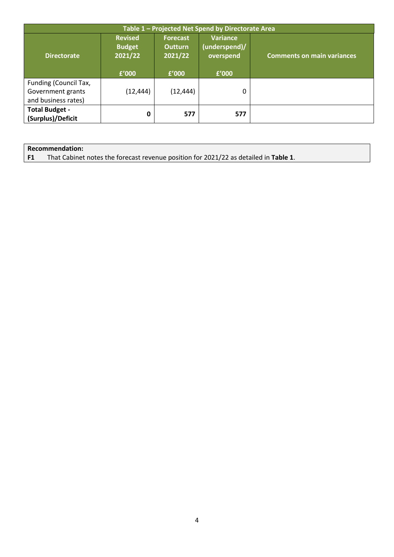| Table 1 - Projected Net Spend by Directorate Area                 |                                                     |                                                       |                                                        |                                   |  |  |
|-------------------------------------------------------------------|-----------------------------------------------------|-------------------------------------------------------|--------------------------------------------------------|-----------------------------------|--|--|
| <b>Directorate</b>                                                | <b>Revised</b><br><b>Budget</b><br>2021/22<br>£'000 | <b>Forecast</b><br><b>Outturn</b><br>2021/22<br>£'000 | <b>Variance</b><br>(underspend)/<br>overspend<br>£'000 | <b>Comments on main variances</b> |  |  |
| Funding (Council Tax,<br>Government grants<br>and business rates) | (12, 444)                                           | (12,444)                                              | 0                                                      |                                   |  |  |
| <b>Total Budget -</b><br>(Surplus)/Deficit                        | 0                                                   | 577                                                   | 577                                                    |                                   |  |  |

| Recommendation:                                                                      |
|--------------------------------------------------------------------------------------|
| That Cabinet notes the forecast revenue position for 2021/22 as detailed in Table 1. |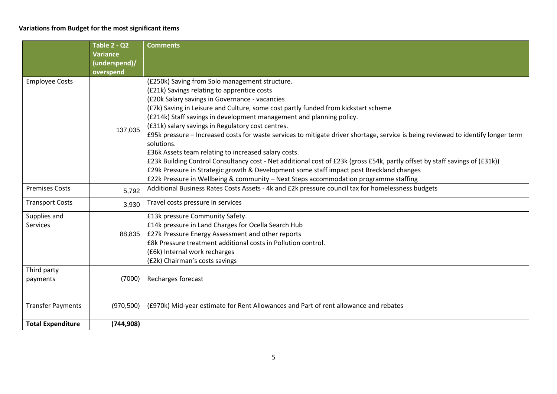## **Variations from Budget for the most significant items**

|                          | Table 2 - Q2    | <b>Comments</b>                                                                                                                   |
|--------------------------|-----------------|-----------------------------------------------------------------------------------------------------------------------------------|
|                          | <b>Variance</b> |                                                                                                                                   |
|                          | (underspend)/   |                                                                                                                                   |
|                          | overspend       |                                                                                                                                   |
| <b>Employee Costs</b>    |                 | (£250k) Saving from Solo management structure.                                                                                    |
|                          |                 | (£21k) Savings relating to apprentice costs                                                                                       |
|                          |                 | (£20k Salary savings in Governance - vacancies                                                                                    |
|                          |                 | (£7k) Saving in Leisure and Culture, some cost partly funded from kickstart scheme                                                |
|                          |                 | (£214k) Staff savings in development management and planning policy.                                                              |
|                          | 137,035         | (£31k) salary savings in Regulatory cost centres.                                                                                 |
|                          |                 | £95k pressure – Increased costs for waste services to mitigate driver shortage, service is being reviewed to identify longer term |
|                          |                 | solutions.                                                                                                                        |
|                          |                 | £36k Assets team relating to increased salary costs.                                                                              |
|                          |                 | £23k Building Control Consultancy cost - Net additional cost of £23k (gross £54k, partly offset by staff savings of (£31k))       |
|                          |                 | £29k Pressure in Strategic growth & Development some staff impact post Breckland changes                                          |
|                          |                 | £22k Pressure in Wellbeing & community - Next Steps accommodation programme staffing                                              |
| <b>Premises Costs</b>    | 5,792           | Additional Business Rates Costs Assets - 4k and £2k pressure council tax for homelessness budgets                                 |
| <b>Transport Costs</b>   | 3,930           | Travel costs pressure in services                                                                                                 |
| Supplies and             |                 | £13k pressure Community Safety.                                                                                                   |
| Services                 |                 | £14k pressure in Land Charges for Ocella Search Hub                                                                               |
|                          | 88,835          | £27k Pressure Energy Assessment and other reports                                                                                 |
|                          |                 | £8k Pressure treatment additional costs in Pollution control.                                                                     |
|                          |                 | (£6k) Internal work recharges                                                                                                     |
|                          |                 | (£2k) Chairman's costs savings                                                                                                    |
| Third party              |                 |                                                                                                                                   |
| payments                 | (7000)          | Recharges forecast                                                                                                                |
|                          |                 |                                                                                                                                   |
| <b>Transfer Payments</b> | (970, 500)      | (£970k) Mid-year estimate for Rent Allowances and Part of rent allowance and rebates                                              |
| <b>Total Expenditure</b> | (744, 908)      |                                                                                                                                   |
|                          |                 |                                                                                                                                   |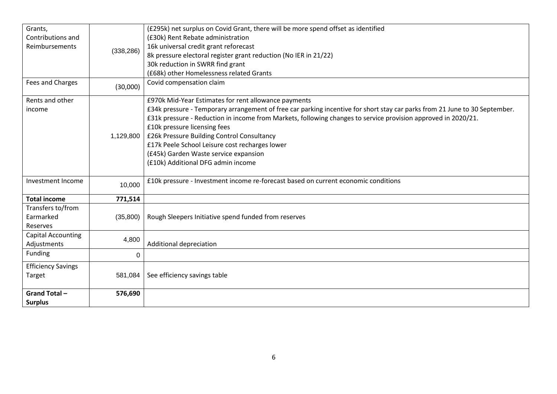| Grants,                   |            | (£295k) net surplus on Covid Grant, there will be more spend offset as identified                                          |
|---------------------------|------------|----------------------------------------------------------------------------------------------------------------------------|
| Contributions and         |            | (£30k) Rent Rebate administration                                                                                          |
| Reimbursements            |            | 16k universal credit grant reforecast                                                                                      |
|                           | (338, 286) | 8k pressure electoral register grant reduction (No IER in 21/22)                                                           |
|                           |            | 30k reduction in SWRR find grant                                                                                           |
|                           |            | (£68k) other Homelessness related Grants                                                                                   |
| Fees and Charges          | (30,000)   | Covid compensation claim                                                                                                   |
| Rents and other           |            | £970k Mid-Year Estimates for rent allowance payments                                                                       |
| income                    |            | £34k pressure - Temporary arrangement of free car parking incentive for short stay car parks from 21 June to 30 September. |
|                           |            | £31k pressure - Reduction in income from Markets, following changes to service provision approved in 2020/21.              |
|                           |            | £10k pressure licensing fees                                                                                               |
|                           | 1,129,800  | £26k Pressure Building Control Consultancy                                                                                 |
|                           |            | £17k Peele School Leisure cost recharges lower                                                                             |
|                           |            | (£45k) Garden Waste service expansion                                                                                      |
|                           |            | (£10k) Additional DFG admin income                                                                                         |
|                           |            |                                                                                                                            |
| Investment Income         | 10,000     | £10k pressure - Investment income re-forecast based on current economic conditions                                         |
| <b>Total income</b>       | 771,514    |                                                                                                                            |
| Transfers to/from         |            |                                                                                                                            |
| Earmarked                 | (35,800)   | Rough Sleepers Initiative spend funded from reserves                                                                       |
| Reserves                  |            |                                                                                                                            |
| <b>Capital Accounting</b> | 4,800      |                                                                                                                            |
| Adjustments               |            | Additional depreciation                                                                                                    |
| Funding                   | 0          |                                                                                                                            |
| <b>Efficiency Savings</b> |            |                                                                                                                            |
| Target                    | 581,084    | See efficiency savings table                                                                                               |
| Grand Total-              | 576,690    |                                                                                                                            |
| <b>Surplus</b>            |            |                                                                                                                            |
|                           |            |                                                                                                                            |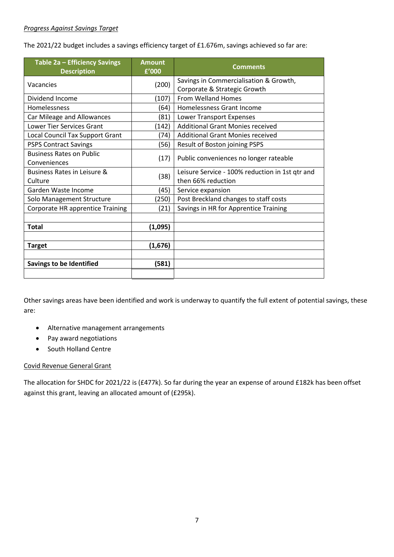#### *Progress Against Savings Target*

The 2021/22 budget includes a savings efficiency target of £1.676m, savings achieved so far are:

| Table 2a - Efficiency Savings<br><b>Description</b> | <b>Amount</b><br>£'000 | <b>Comments</b>                                                        |
|-----------------------------------------------------|------------------------|------------------------------------------------------------------------|
| Vacancies                                           | (200)                  | Savings in Commercialisation & Growth,<br>Corporate & Strategic Growth |
| Dividend Income                                     | (107)                  | <b>From Welland Homes</b>                                              |
| Homelessness                                        | (64)                   | Homelessness Grant Income                                              |
| Car Mileage and Allowances                          | (81)                   | Lower Transport Expenses                                               |
| <b>Lower Tier Services Grant</b>                    | (142)                  | <b>Additional Grant Monies received</b>                                |
| Local Council Tax Support Grant                     | (74)                   | <b>Additional Grant Monies received</b>                                |
| <b>PSPS Contract Savings</b>                        | (56)                   | Result of Boston joining PSPS                                          |
| <b>Business Rates on Public</b><br>Conveniences     | (17)                   | Public conveniences no longer rateable                                 |
| Business Rates in Leisure &<br>Culture              | (38)                   | Leisure Service - 100% reduction in 1st qtr and<br>then 66% reduction  |
| Garden Waste Income                                 | (45)                   | Service expansion                                                      |
| Solo Management Structure                           | (250)                  | Post Breckland changes to staff costs                                  |
| Corporate HR apprentice Training                    | (21)                   | Savings in HR for Apprentice Training                                  |
|                                                     |                        |                                                                        |
| <b>Total</b>                                        | (1,095)                |                                                                        |
|                                                     |                        |                                                                        |
| <b>Target</b>                                       | (1,676)                |                                                                        |
|                                                     |                        |                                                                        |
| <b>Savings to be Identified</b>                     | (581)                  |                                                                        |
|                                                     |                        |                                                                        |

Other savings areas have been identified and work is underway to quantify the full extent of potential savings, these are:

- Alternative management arrangements
- Pay award negotiations
- South Holland Centre

#### Covid Revenue General Grant

The allocation for SHDC for 2021/22 is (£477k). So far during the year an expense of around £182k has been offset against this grant, leaving an allocated amount of (£295k).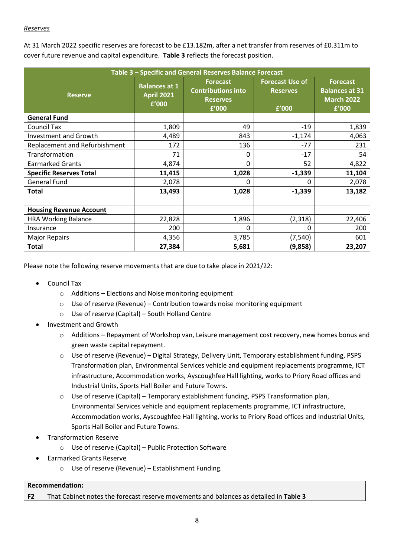#### *Reserves*

At 31 March 2022 specific reserves are forecast to be £13.182m, after a net transfer from reserves of £0.311m to cover future revenue and capital expenditure. **Table 3** reflects the forecast position.

| Table 3 - Specific and General Reserves Balance Forecast |                                                    |                                                                          |                                                    |                                                                        |  |  |
|----------------------------------------------------------|----------------------------------------------------|--------------------------------------------------------------------------|----------------------------------------------------|------------------------------------------------------------------------|--|--|
| <b>Reserve</b>                                           | <b>Balances at 1</b><br><b>April 2021</b><br>£'000 | <b>Forecast</b><br><b>Contributions into</b><br><b>Reserves</b><br>£'000 | <b>Forecast Use of</b><br><b>Reserves</b><br>£'000 | <b>Forecast</b><br><b>Balances at 31</b><br><b>March 2022</b><br>£'000 |  |  |
| <b>General Fund</b>                                      |                                                    |                                                                          |                                                    |                                                                        |  |  |
| Council Tax                                              | 1,809                                              | 49                                                                       | $-19$                                              | 1,839                                                                  |  |  |
| <b>Investment and Growth</b>                             | 4,489                                              | 843                                                                      | $-1,174$                                           | 4,063                                                                  |  |  |
| Replacement and Refurbishment                            | 172                                                | 136                                                                      | $-77$                                              | 231                                                                    |  |  |
| Transformation                                           | 71                                                 | 0                                                                        | $-17$                                              | 54                                                                     |  |  |
| <b>Earmarked Grants</b>                                  | 4,874                                              | 0                                                                        | 52                                                 | 4,822                                                                  |  |  |
| <b>Specific Reserves Total</b>                           | 11,415                                             | 1,028                                                                    | $-1,339$                                           | 11,104                                                                 |  |  |
| <b>General Fund</b>                                      | 2,078                                              | $\Omega$                                                                 | 0                                                  | 2,078                                                                  |  |  |
| <b>Total</b>                                             | 13,493                                             | 1,028                                                                    | $-1,339$                                           | 13,182                                                                 |  |  |
| <b>Housing Revenue Account</b>                           |                                                    |                                                                          |                                                    |                                                                        |  |  |
| <b>HRA Working Balance</b>                               | 22,828                                             | 1,896                                                                    | (2,318)                                            | 22,406                                                                 |  |  |
| Insurance                                                | 200                                                | $\Omega$                                                                 | 0                                                  | 200                                                                    |  |  |
| <b>Major Repairs</b>                                     | 4,356                                              | 3,785                                                                    | (7,540)                                            | 601                                                                    |  |  |
| <b>Total</b>                                             | 27,384                                             | 5,681                                                                    | (9,858)                                            | 23,207                                                                 |  |  |

Please note the following reserve movements that are due to take place in 2021/22:

- Council Tax
	- o Additions Elections and Noise monitoring equipment
	- $\circ$  Use of reserve (Revenue) Contribution towards noise monitoring equipment
	- o Use of reserve (Capital) South Holland Centre
- Investment and Growth
	- $\circ$  Additions Repayment of Workshop van, Leisure management cost recovery, new homes bonus and green waste capital repayment.
	- o Use of reserve (Revenue) Digital Strategy, Delivery Unit, Temporary establishment funding, PSPS Transformation plan, Environmental Services vehicle and equipment replacements programme, ICT infrastructure, Accommodation works, Ayscoughfee Hall lighting, works to Priory Road offices and Industrial Units, Sports Hall Boiler and Future Towns.
	- o Use of reserve (Capital) Temporary establishment funding, PSPS Transformation plan, Environmental Services vehicle and equipment replacements programme, ICT infrastructure, Accommodation works, Ayscoughfee Hall lighting, works to Priory Road offices and Industrial Units, Sports Hall Boiler and Future Towns.
- Transformation Reserve
	- o Use of reserve (Capital) Public Protection Software
- Earmarked Grants Reserve
	- o Use of reserve (Revenue) Establishment Funding.

#### **Recommendation:**

**F2** That Cabinet notes the forecast reserve movements and balances as detailed in **Table 3**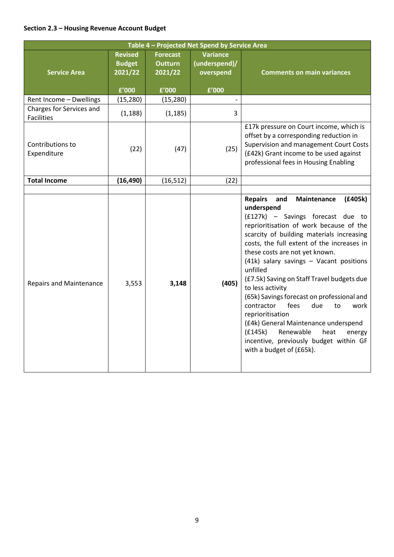# **Section 2.3 – Housing Revenue Account Budget**

| Table 4 - Projected Net Spend by Service Area |                                            |                                              |                                               |                                                                                                                                                                                                                                                                                                                                                                                                                                                                                                                                                                                                                                                                          |  |
|-----------------------------------------------|--------------------------------------------|----------------------------------------------|-----------------------------------------------|--------------------------------------------------------------------------------------------------------------------------------------------------------------------------------------------------------------------------------------------------------------------------------------------------------------------------------------------------------------------------------------------------------------------------------------------------------------------------------------------------------------------------------------------------------------------------------------------------------------------------------------------------------------------------|--|
| <b>Service Area</b>                           | <b>Revised</b><br><b>Budget</b><br>2021/22 | <b>Forecast</b><br><b>Outturn</b><br>2021/22 | <b>Variance</b><br>(underspend)/<br>overspend | <b>Comments on main variances</b>                                                                                                                                                                                                                                                                                                                                                                                                                                                                                                                                                                                                                                        |  |
|                                               | £'000                                      | £'000                                        | £'000                                         |                                                                                                                                                                                                                                                                                                                                                                                                                                                                                                                                                                                                                                                                          |  |
| Rent Income - Dwellings                       | (15, 280)                                  | (15, 280)                                    |                                               |                                                                                                                                                                                                                                                                                                                                                                                                                                                                                                                                                                                                                                                                          |  |
| Charges for Services and<br><b>Facilities</b> | (1, 188)                                   | (1, 185)                                     | 3                                             |                                                                                                                                                                                                                                                                                                                                                                                                                                                                                                                                                                                                                                                                          |  |
| Contributions to<br>Expenditure               | (22)                                       | (47)                                         | (25)                                          | £17k pressure on Court income, which is<br>offset by a corresponding reduction in<br>Supervision and management Court Costs<br>(£42k) Grant income to be used against<br>professional fees in Housing Enabling                                                                                                                                                                                                                                                                                                                                                                                                                                                           |  |
| <b>Total Income</b>                           | (16, 490)                                  | (16, 512)                                    | (22)                                          |                                                                                                                                                                                                                                                                                                                                                                                                                                                                                                                                                                                                                                                                          |  |
|                                               |                                            |                                              |                                               |                                                                                                                                                                                                                                                                                                                                                                                                                                                                                                                                                                                                                                                                          |  |
| <b>Repairs and Maintenance</b>                | 3,553                                      | 3,148                                        | (405)                                         | <b>Repairs</b><br>and<br>Maintenance<br>(£405k)<br>underspend<br>(£127k) - Savings forecast due to<br>reprioritisation of work because of the<br>scarcity of building materials increasing<br>costs, the full extent of the increases in<br>these costs are not yet known.<br>(41k) salary savings - Vacant positions<br>unfilled<br>(£7.5k) Saving on Staff Travel budgets due<br>to less activity<br>(65k) Savings forecast on professional and<br>fees<br>contractor<br>due<br>to<br>work<br>reprioritisation<br>(£4k) General Maintenance underspend<br>(f145k)<br>Renewable<br>heat<br>energy<br>incentive, previously budget within GF<br>with a budget of (£65k). |  |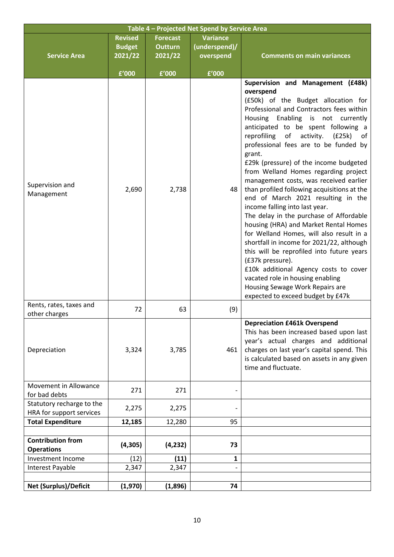| Table 4 - Projected Net Spend by Service Area         |                                            |                                              |                                               |                                                                                                                                                                                                                                                                                                                                                                                                                                                                                                                                                                                                                                                                                                                                                                                                                                                                                                                                                                          |  |  |
|-------------------------------------------------------|--------------------------------------------|----------------------------------------------|-----------------------------------------------|--------------------------------------------------------------------------------------------------------------------------------------------------------------------------------------------------------------------------------------------------------------------------------------------------------------------------------------------------------------------------------------------------------------------------------------------------------------------------------------------------------------------------------------------------------------------------------------------------------------------------------------------------------------------------------------------------------------------------------------------------------------------------------------------------------------------------------------------------------------------------------------------------------------------------------------------------------------------------|--|--|
| <b>Service Area</b>                                   | <b>Revised</b><br><b>Budget</b><br>2021/22 | <b>Forecast</b><br><b>Outturn</b><br>2021/22 | <b>Variance</b><br>(underspend)/<br>overspend | <b>Comments on main variances</b>                                                                                                                                                                                                                                                                                                                                                                                                                                                                                                                                                                                                                                                                                                                                                                                                                                                                                                                                        |  |  |
|                                                       | £'000                                      | £'000                                        | £'000                                         |                                                                                                                                                                                                                                                                                                                                                                                                                                                                                                                                                                                                                                                                                                                                                                                                                                                                                                                                                                          |  |  |
| Supervision and<br>Management                         | 2,690                                      | 2,738                                        | 48                                            | Supervision and Management (£48k)<br>overspend<br>(£50k) of the Budget allocation for<br>Professional and Contractors fees within<br>Housing Enabling is not currently<br>anticipated to be spent following a<br>reprofiling<br>of<br>activity.<br>(E25k)<br>of<br>professional fees are to be funded by<br>grant.<br>£29k (pressure) of the income budgeted<br>from Welland Homes regarding project<br>management costs, was received earlier<br>than profiled following acquisitions at the<br>end of March 2021 resulting in the<br>income falling into last year.<br>The delay in the purchase of Affordable<br>housing (HRA) and Market Rental Homes<br>for Welland Homes, will also result in a<br>shortfall in income for 2021/22, although<br>this will be reprofiled into future years<br>(£37k pressure).<br>£10k additional Agency costs to cover<br>vacated role in housing enabling<br>Housing Sewage Work Repairs are<br>expected to exceed budget by £47k |  |  |
| Rents, rates, taxes and<br>other charges              | 72                                         | 63                                           | (9)                                           |                                                                                                                                                                                                                                                                                                                                                                                                                                                                                                                                                                                                                                                                                                                                                                                                                                                                                                                                                                          |  |  |
| Depreciation                                          | 3,324                                      | 3,785                                        | 461                                           | <b>Depreciation £461k Overspend</b><br>This has been increased based upon last<br>year's actual charges and additional<br>charges on last year's capital spend. This<br>is calculated based on assets in any given<br>time and fluctuate.                                                                                                                                                                                                                                                                                                                                                                                                                                                                                                                                                                                                                                                                                                                                |  |  |
| Movement in Allowance<br>for bad debts                | 271                                        | 271                                          |                                               |                                                                                                                                                                                                                                                                                                                                                                                                                                                                                                                                                                                                                                                                                                                                                                                                                                                                                                                                                                          |  |  |
| Statutory recharge to the<br>HRA for support services | 2,275                                      | 2,275                                        |                                               |                                                                                                                                                                                                                                                                                                                                                                                                                                                                                                                                                                                                                                                                                                                                                                                                                                                                                                                                                                          |  |  |
| <b>Total Expenditure</b>                              | 12,185                                     | 12,280                                       | 95                                            |                                                                                                                                                                                                                                                                                                                                                                                                                                                                                                                                                                                                                                                                                                                                                                                                                                                                                                                                                                          |  |  |
| <b>Contribution from</b><br><b>Operations</b>         | (4, 305)                                   | (4, 232)                                     | 73                                            |                                                                                                                                                                                                                                                                                                                                                                                                                                                                                                                                                                                                                                                                                                                                                                                                                                                                                                                                                                          |  |  |
| Investment Income                                     | (12)                                       | (11)<br>2,347                                | 1                                             |                                                                                                                                                                                                                                                                                                                                                                                                                                                                                                                                                                                                                                                                                                                                                                                                                                                                                                                                                                          |  |  |
| Interest Payable                                      | 2,347                                      |                                              |                                               |                                                                                                                                                                                                                                                                                                                                                                                                                                                                                                                                                                                                                                                                                                                                                                                                                                                                                                                                                                          |  |  |
| <b>Net (Surplus)/Deficit</b>                          | (1,970)                                    | (1,896)                                      | 74                                            |                                                                                                                                                                                                                                                                                                                                                                                                                                                                                                                                                                                                                                                                                                                                                                                                                                                                                                                                                                          |  |  |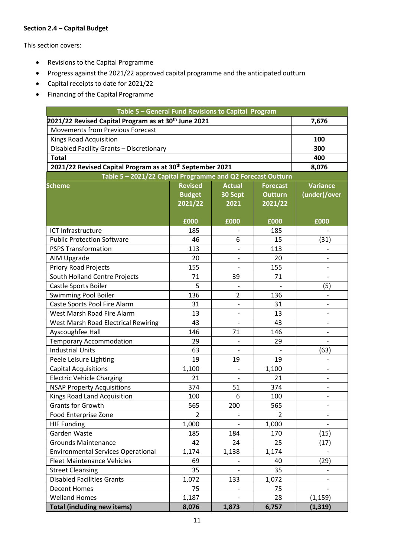### **Section 2.4 – Capital Budget**

This section covers:

- Revisions to the Capital Programme
- Progress against the 2021/22 approved capital programme and the anticipated outturn
- Capital receipts to date for 2021/22
- Financing of the Capital Programme

| Table 5 - General Fund Revisions to Capital Program                   |                |                |                 |                          |  |  |
|-----------------------------------------------------------------------|----------------|----------------|-----------------|--------------------------|--|--|
| 2021/22 Revised Capital Program as at 30 <sup>th</sup> June 2021      |                | 7,676          |                 |                          |  |  |
| <b>Movements from Previous Forecast</b>                               |                |                |                 |                          |  |  |
| Kings Road Acquisition                                                |                | 100            |                 |                          |  |  |
| Disabled Facility Grants - Discretionary                              |                | 300            |                 |                          |  |  |
| <b>Total</b>                                                          |                | 400            |                 |                          |  |  |
| 2021/22 Revised Capital Program as at 30 <sup>th</sup> September 2021 |                | 8,076          |                 |                          |  |  |
| Table 5 - 2021/22 Capital Programme and Q2 Forecast Outturn           |                |                |                 |                          |  |  |
| <b>Scheme</b>                                                         | <b>Revised</b> | <b>Actual</b>  | <b>Forecast</b> | <b>Variance</b>          |  |  |
|                                                                       | <b>Budget</b>  | 30 Sept        | <b>Outturn</b>  | (under)/over             |  |  |
|                                                                       | 2021/22        | 2021           | 2021/22         |                          |  |  |
|                                                                       |                |                |                 |                          |  |  |
|                                                                       | £000           | £000           | £000            | £000                     |  |  |
| ICT Infrastructure                                                    | 185            |                | 185             |                          |  |  |
| <b>Public Protection Software</b>                                     | 46             | 6              | 15              | (31)                     |  |  |
| <b>PSPS Transformation</b>                                            | 113            |                | 113             |                          |  |  |
| AIM Upgrade                                                           | 20             |                | 20              |                          |  |  |
| <b>Priory Road Projects</b>                                           | 155            |                | 155             |                          |  |  |
| South Holland Centre Projects                                         | 71             | 39             | 71              |                          |  |  |
| Castle Sports Boiler                                                  | 5              |                |                 | (5)                      |  |  |
| Swimming Pool Boiler                                                  | 136            | $\overline{2}$ | 136             |                          |  |  |
| Caste Sports Pool Fire Alarm                                          | 31             |                | 31              |                          |  |  |
| West Marsh Road Fire Alarm                                            | 13             |                | 13              | $\overline{\phantom{0}}$ |  |  |
| West Marsh Road Electrical Rewiring                                   | 43             |                | 43              |                          |  |  |
| Ayscoughfee Hall                                                      | 146            | 71             | 146             |                          |  |  |
| <b>Temporary Accommodation</b>                                        | 29             |                | 29              |                          |  |  |
| <b>Industrial Units</b>                                               | 63             |                |                 | (63)                     |  |  |
| Peele Leisure Lighting                                                | 19             | 19             | 19              |                          |  |  |
| <b>Capital Acquisitions</b>                                           | 1,100          |                | 1,100           |                          |  |  |
| <b>Electric Vehicle Charging</b>                                      | 21             |                | 21              |                          |  |  |
| <b>NSAP Property Acquisitions</b>                                     | 374            | 51             | 374             |                          |  |  |
| Kings Road Land Acquisition                                           | 100            | 6              | 100             |                          |  |  |
| Grants for Growth                                                     | 565            | 200            | 565             |                          |  |  |
| Food Enterprise Zone                                                  | $\overline{2}$ |                | 2               |                          |  |  |
| <b>HIF Funding</b>                                                    | 1,000          |                | 1,000           |                          |  |  |
| Garden Waste                                                          | 185            | 184            | 170             | (15)                     |  |  |
| <b>Grounds Maintenance</b>                                            | 42             | 24             | 25              | (17)                     |  |  |
| <b>Environmental Services Operational</b>                             | 1,174          | 1,138          | 1,174           |                          |  |  |
| <b>Fleet Maintenance Vehicles</b>                                     | 69             |                | 40              | (29)                     |  |  |
| <b>Street Cleansing</b>                                               | 35             |                | 35              |                          |  |  |
| <b>Disabled Facilities Grants</b>                                     | 1,072          | 133            | 1,072           |                          |  |  |
| <b>Decent Homes</b>                                                   | 75             |                | 75              |                          |  |  |
| <b>Welland Homes</b>                                                  | 1,187          |                | 28              | (1, 159)                 |  |  |
| <b>Total (including new items)</b>                                    | 8,076          | 1,873          | 6,757           | (1, 319)                 |  |  |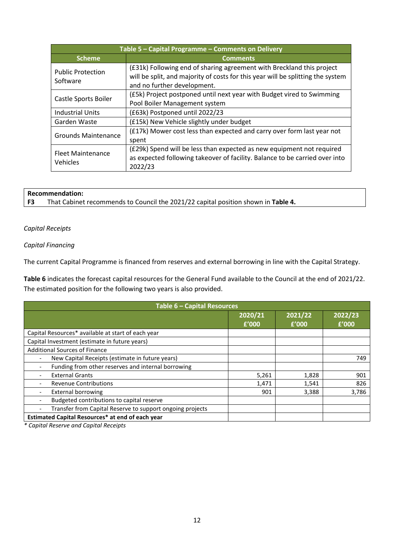| Table 5 - Capital Programme - Comments on Delivery |                                                                                                                                                                                         |  |  |  |  |
|----------------------------------------------------|-----------------------------------------------------------------------------------------------------------------------------------------------------------------------------------------|--|--|--|--|
| <b>Scheme</b>                                      | <b>Comments</b>                                                                                                                                                                         |  |  |  |  |
| <b>Public Protection</b><br>Software               | (£31k) Following end of sharing agreement with Breckland this project<br>will be split, and majority of costs for this year will be splitting the system<br>and no further development. |  |  |  |  |
| Castle Sports Boiler                               | (£5k) Project postponed until next year with Budget vired to Swimming<br>Pool Boiler Management system                                                                                  |  |  |  |  |
| <b>Industrial Units</b>                            | (£63k) Postponed until 2022/23                                                                                                                                                          |  |  |  |  |
| Garden Waste                                       | (£15k) New Vehicle slightly under budget                                                                                                                                                |  |  |  |  |
| <b>Grounds Maintenance</b>                         | (£17k) Mower cost less than expected and carry over form last year not<br>spent                                                                                                         |  |  |  |  |
| <b>Fleet Maintenance</b><br>Vehicles               | (£29k) Spend will be less than expected as new equipment not required<br>as expected following takeover of facility. Balance to be carried over into<br>2022/23                         |  |  |  |  |

# **Recommendation:**<br>**F3** That Cabinet

**F3** That Cabinet recommends to Council the 2021/22 capital position shown in **Table 4.**

#### *Capital Receipts*

#### *Capital Financing*

The current Capital Programme is financed from reserves and external borrowing in line with the Capital Strategy.

**Table 6** indicates the forecast capital resources for the General Fund available to the Council at the end of 2021/22. The estimated position for the following two years is also provided.

| Table 6 - Capital Resources                               |                  |                  |                  |  |  |  |
|-----------------------------------------------------------|------------------|------------------|------------------|--|--|--|
|                                                           | 2020/21<br>f'000 | 2021/22<br>£'000 | 2022/23<br>f'000 |  |  |  |
| Capital Resources* available at start of each year        |                  |                  |                  |  |  |  |
| Capital Investment (estimate in future years)             |                  |                  |                  |  |  |  |
| <b>Additional Sources of Finance</b>                      |                  |                  |                  |  |  |  |
| New Capital Receipts (estimate in future years)           |                  |                  | 749              |  |  |  |
| Funding from other reserves and internal borrowing        |                  |                  |                  |  |  |  |
| <b>External Grants</b>                                    | 5,261            | 1,828            | 901              |  |  |  |
| <b>Revenue Contributions</b>                              | 1,471            | 1,541            | 826              |  |  |  |
| <b>External borrowing</b>                                 | 901              | 3,388            | 3,786            |  |  |  |
| Budgeted contributions to capital reserve                 |                  |                  |                  |  |  |  |
| Transfer from Capital Reserve to support ongoing projects |                  |                  |                  |  |  |  |
| Estimated Capital Resources* at end of each year          |                  |                  |                  |  |  |  |

*\* Capital Reserve and Capital Receipts*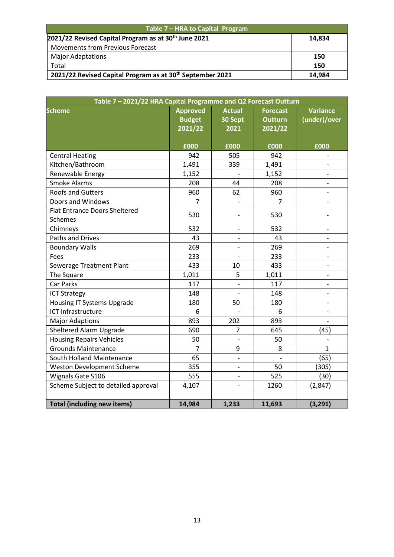| Table 7 - HRA to Capital Program                                      |        |  |  |  |
|-----------------------------------------------------------------------|--------|--|--|--|
| 2021/22 Revised Capital Program as at 30 <sup>th</sup> June 2021      | 14.834 |  |  |  |
| <b>Movements from Previous Forecast</b>                               |        |  |  |  |
| <b>Major Adaptations</b>                                              | 150    |  |  |  |
| Total                                                                 | 150    |  |  |  |
| 2021/22 Revised Capital Program as at 30 <sup>th</sup> September 2021 | 14,984 |  |  |  |

| Table 7 - 2021/22 HRA Capital Programme and Q2 Forecast Outturn |                                             |                                  |                                              |                                 |  |  |  |
|-----------------------------------------------------------------|---------------------------------------------|----------------------------------|----------------------------------------------|---------------------------------|--|--|--|
| <b>Scheme</b>                                                   | <b>Approved</b><br><b>Budget</b><br>2021/22 | <b>Actual</b><br>30 Sept<br>2021 | <b>Forecast</b><br><b>Outturn</b><br>2021/22 | <b>Variance</b><br>(under)/over |  |  |  |
|                                                                 | £000                                        | £000                             | £000                                         | £000                            |  |  |  |
| <b>Central Heating</b>                                          | 942                                         | 505                              | 942                                          |                                 |  |  |  |
| Kitchen/Bathroom                                                | 1,491                                       | 339                              | 1,491                                        |                                 |  |  |  |
| Renewable Energy                                                | 1,152                                       |                                  | 1,152                                        |                                 |  |  |  |
| <b>Smoke Alarms</b>                                             | 208                                         | 44                               | 208                                          |                                 |  |  |  |
| <b>Roofs and Gutters</b>                                        | 960                                         | 62                               | 960                                          |                                 |  |  |  |
| Doors and Windows                                               | 7                                           |                                  | 7                                            | $\qquad \qquad \blacksquare$    |  |  |  |
| <b>Flat Entrance Doors Sheltered</b><br><b>Schemes</b>          | 530                                         |                                  | 530                                          |                                 |  |  |  |
| Chimneys                                                        | 532                                         |                                  | 532                                          |                                 |  |  |  |
| <b>Paths and Drives</b>                                         | 43                                          |                                  | 43                                           |                                 |  |  |  |
| <b>Boundary Walls</b>                                           | 269                                         |                                  | 269                                          | $\qquad \qquad \blacksquare$    |  |  |  |
| Fees                                                            | 233                                         |                                  | 233                                          | $\qquad \qquad \blacksquare$    |  |  |  |
| Sewerage Treatment Plant                                        | 433                                         | 10                               | 433                                          |                                 |  |  |  |
| The Square                                                      | 1,011                                       | 5                                | 1,011                                        |                                 |  |  |  |
| Car Parks                                                       | 117                                         |                                  | 117                                          |                                 |  |  |  |
| <b>ICT Strategy</b>                                             | 148                                         |                                  | 148                                          |                                 |  |  |  |
| <b>Housing IT Systems Upgrade</b>                               | 180                                         | 50                               | 180                                          |                                 |  |  |  |
| ICT Infrastructure                                              | 6                                           |                                  | 6                                            |                                 |  |  |  |
| <b>Major Adaptions</b>                                          | 893                                         | 202                              | 893                                          |                                 |  |  |  |
| Sheltered Alarm Upgrade                                         | 690                                         | $\overline{7}$                   | 645                                          | (45)                            |  |  |  |
| <b>Housing Repairs Vehicles</b>                                 | 50                                          |                                  | 50                                           |                                 |  |  |  |
| <b>Grounds Maintenance</b>                                      | 7                                           | 9                                | 8                                            | $\mathbf{1}$                    |  |  |  |
| South Holland Maintenance                                       | 65                                          |                                  |                                              | (65)                            |  |  |  |
| <b>Weston Development Scheme</b>                                | 355                                         |                                  | 50                                           | (305)                           |  |  |  |
| Wignals Gate S106                                               | 555                                         |                                  | 525                                          | (30)                            |  |  |  |
| Scheme Subject to detailed approval                             | 4,107                                       |                                  | 1260                                         | (2, 847)                        |  |  |  |
|                                                                 |                                             |                                  |                                              |                                 |  |  |  |
| <b>Total (including new items)</b>                              | 14,984                                      | 1,233                            | 11,693                                       | (3, 291)                        |  |  |  |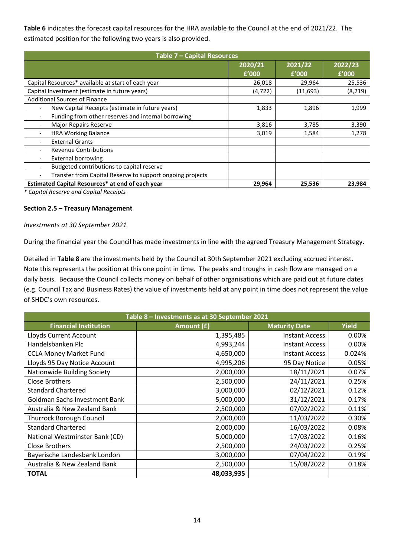**Table 6** indicates the forecast capital resources for the HRA available to the Council at the end of 2021/22. The estimated position for the following two years is also provided.

| Table 7 - Capital Resources                               |                  |                  |                  |  |  |  |  |
|-----------------------------------------------------------|------------------|------------------|------------------|--|--|--|--|
|                                                           | 2020/21<br>f'000 | 2021/22<br>f'000 | 2022/23<br>f'000 |  |  |  |  |
| Capital Resources* available at start of each year        | 26,018           | 29,964           | 25,536           |  |  |  |  |
| Capital Investment (estimate in future years)             | (4, 722)         | (11,693)         | (8, 219)         |  |  |  |  |
| <b>Additional Sources of Finance</b>                      |                  |                  |                  |  |  |  |  |
| New Capital Receipts (estimate in future years)           | 1,833            | 1,896            | 1,999            |  |  |  |  |
| Funding from other reserves and internal borrowing        |                  |                  |                  |  |  |  |  |
| <b>Major Repairs Reserve</b><br>$\overline{\phantom{a}}$  | 3,816            | 3,785            | 3,390            |  |  |  |  |
| <b>HRA Working Balance</b>                                | 3,019            | 1,584            | 1,278            |  |  |  |  |
| <b>External Grants</b>                                    |                  |                  |                  |  |  |  |  |
| <b>Revenue Contributions</b>                              |                  |                  |                  |  |  |  |  |
| <b>External borrowing</b><br>$\overline{\phantom{a}}$     |                  |                  |                  |  |  |  |  |
| Budgeted contributions to capital reserve                 |                  |                  |                  |  |  |  |  |
| Transfer from Capital Reserve to support ongoing projects |                  |                  |                  |  |  |  |  |
| Estimated Capital Resources* at end of each year          | 29,964           | 25,536           | 23,984           |  |  |  |  |

*\* Capital Reserve and Capital Receipts*

#### **Section 2.5 – Treasury Management**

#### *Investments at 30 September 2021*

During the financial year the Council has made investments in line with the agreed Treasury Management Strategy.

Detailed in **Table 8** are the investments held by the Council at 30th September 2021 excluding accrued interest. Note this represents the position at this one point in time. The peaks and troughs in cash flow are managed on a daily basis. Because the Council collects money on behalf of other organisations which are paid out at future dates (e.g. Council Tax and Business Rates) the value of investments held at any point in time does not represent the value of SHDC's own resources.

| Table 8 - Investments as at 30 September 2021 |            |                       |              |  |  |  |  |
|-----------------------------------------------|------------|-----------------------|--------------|--|--|--|--|
| <b>Financial Institution</b>                  | Amount (£) | <b>Maturity Date</b>  | <b>Yield</b> |  |  |  |  |
| Lloyds Current Account                        | 1,395,485  | <b>Instant Access</b> | 0.00%        |  |  |  |  |
| Handelsbanken Plc                             | 4,993,244  | <b>Instant Access</b> | 0.00%        |  |  |  |  |
| <b>CCLA Money Market Fund</b>                 | 4,650,000  | <b>Instant Access</b> | 0.024%       |  |  |  |  |
| Lloyds 95 Day Notice Account                  | 4,995,206  | 95 Day Notice         | 0.05%        |  |  |  |  |
| Nationwide Building Society                   | 2,000,000  | 18/11/2021            | 0.07%        |  |  |  |  |
| <b>Close Brothers</b>                         | 2,500,000  | 24/11/2021            | 0.25%        |  |  |  |  |
| <b>Standard Chartered</b>                     | 3,000,000  | 02/12/2021            | 0.12%        |  |  |  |  |
| Goldman Sachs Investment Bank                 | 5,000,000  | 31/12/2021            | 0.17%        |  |  |  |  |
| Australia & New Zealand Bank                  | 2,500,000  | 07/02/2022            | 0.11%        |  |  |  |  |
| <b>Thurrock Borough Council</b>               | 2,000,000  | 11/03/2022            | 0.30%        |  |  |  |  |
| <b>Standard Chartered</b>                     | 2,000,000  | 16/03/2022            | 0.08%        |  |  |  |  |
| National Westminster Bank (CD)                | 5,000,000  | 17/03/2022            | 0.16%        |  |  |  |  |
| Close Brothers                                | 2,500,000  | 24/03/2022            | 0.25%        |  |  |  |  |
| Bayerische Landesbank London                  | 3,000,000  | 07/04/2022            | 0.19%        |  |  |  |  |
| Australia & New Zealand Bank                  | 2,500,000  | 15/08/2022            | 0.18%        |  |  |  |  |
| <b>TOTAL</b>                                  | 48,033,935 |                       |              |  |  |  |  |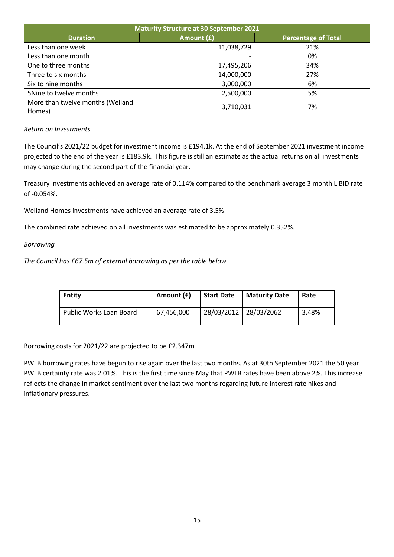| <b>Maturity Structure at 30 September 2021</b> |            |                            |  |  |  |  |
|------------------------------------------------|------------|----------------------------|--|--|--|--|
| <b>Duration</b>                                | Amount (£) | <b>Percentage of Total</b> |  |  |  |  |
| Less than one week                             | 11,038,729 | 21%                        |  |  |  |  |
| Less than one month                            |            | 0%                         |  |  |  |  |
| One to three months                            | 17,495,206 | 34%                        |  |  |  |  |
| Three to six months                            | 14,000,000 | 27%                        |  |  |  |  |
| Six to nine months                             | 3,000,000  | 6%                         |  |  |  |  |
| 5Nine to twelve months                         | 2,500,000  | 5%                         |  |  |  |  |
| More than twelve months (Welland<br>Homes)     | 3,710,031  | 7%                         |  |  |  |  |

#### *Return on Investments*

The Council's 2021/22 budget for investment income is £194.1k. At the end of September 2021 investment income projected to the end of the year is £183.9k. This figure is still an estimate as the actual returns on all investments may change during the second part of the financial year.

Treasury investments achieved an average rate of 0.114% compared to the benchmark average 3 month LIBID rate of -0.054%.

Welland Homes investments have achieved an average rate of 3.5%.

The combined rate achieved on all investments was estimated to be approximately 0.352%.

#### *Borrowing*

*The Council has £67.5m of external borrowing as per the table below.*

| <b>Entity</b>           | Amount (£) | <b>Start Date</b>     | <b>Maturity Date</b> | Rate  |
|-------------------------|------------|-----------------------|----------------------|-------|
| Public Works Loan Board | 67.456.000 | 28/03/2012 28/03/2062 |                      | 3.48% |

Borrowing costs for 2021/22 are projected to be £2.347m

PWLB borrowing rates have begun to rise again over the last two months. As at 30th September 2021 the 50 year PWLB certainty rate was 2.01%. This is the first time since May that PWLB rates have been above 2%. This increase reflects the change in market sentiment over the last two months regarding future interest rate hikes and inflationary pressures.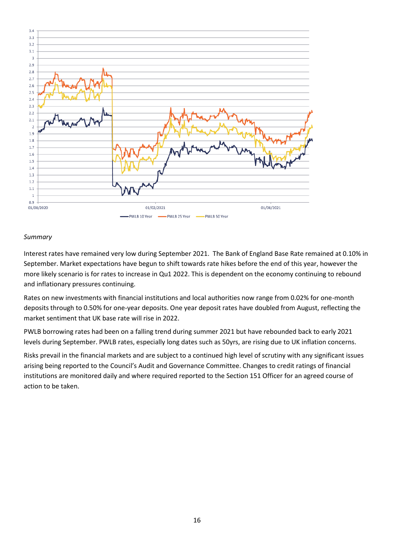

#### *Summary*

Interest rates have remained very low during September 2021. The Bank of England Base Rate remained at 0.10% in September. Market expectations have begun to shift towards rate hikes before the end of this year, however the more likely scenario is for rates to increase in Qu1 2022. This is dependent on the economy continuing to rebound and inflationary pressures continuing.

Rates on new investments with financial institutions and local authorities now range from 0.02% for one-month deposits through to 0.50% for one-year deposits. One year deposit rates have doubled from August, reflecting the market sentiment that UK base rate will rise in 2022.

PWLB borrowing rates had been on a falling trend during summer 2021 but have rebounded back to early 2021 levels during September. PWLB rates, especially long dates such as 50yrs, are rising due to UK inflation concerns.

Risks prevail in the financial markets and are subject to a continued high level of scrutiny with any significant issues arising being reported to the Council's Audit and Governance Committee. Changes to credit ratings of financial institutions are monitored daily and where required reported to the Section 151 Officer for an agreed course of action to be taken.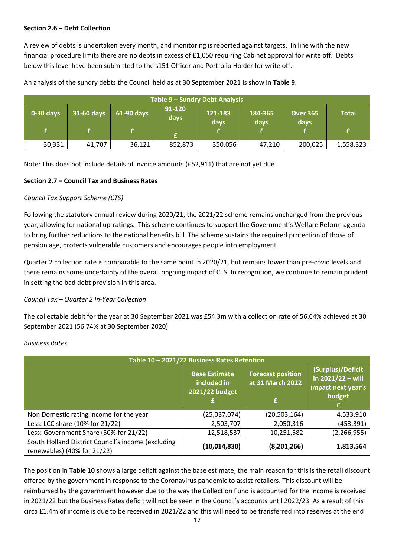#### **Section 2.6 – Debt Collection**

A review of debts is undertaken every month, and monitoring is reported against targets. In line with the new financial procedure limits there are no debts in excess of £1,050 requiring Cabinet approval for write off. Debts below this level have been submitted to the s151 Officer and Portfolio Holder for write off.

| Table 9 - Sundry Debt Analysis |            |            |                |                 |                 |                         |              |
|--------------------------------|------------|------------|----------------|-----------------|-----------------|-------------------------|--------------|
| $0-30$ days                    | 31-60 days | 61-90 days | 91-120<br>days | 121-183<br>days | 184-365<br>days | <b>Over 365</b><br>days | <b>Total</b> |
|                                |            |            |                |                 |                 |                         |              |
| 30,331                         | 41,707     | 36,121     | 852,873        | 350,056         | 47,210          | 200,025                 | 1,558,323    |

An analysis of the sundry debts the Council held as at 30 September 2021 is show in **Table 9**.

Note: This does not include details of invoice amounts (£52,911) that are not yet due

#### **Section 2.7 – Council Tax and Business Rates**

#### *Council Tax Support Scheme (CTS)*

Following the statutory annual review during 2020/21, the 2021/22 scheme remains unchanged from the previous year, allowing for national up-ratings. This scheme continues to support the Government's Welfare Reform agenda to bring further reductions to the national benefits bill. The scheme sustains the required protection of those of pension age, protects vulnerable customers and encourages people into employment.

Quarter 2 collection rate is comparable to the same point in 2020/21, but remains lower than pre-covid levels and there remains some uncertainty of the overall ongoing impact of CTS. In recognition, we continue to remain prudent in setting the bad debt provision in this area.

#### *Council Tax – Quarter 2 In-Year Collection*

The collectable debit for the year at 30 September 2021 was £54.3m with a collection rate of 56.64% achieved at 30 September 2021 (56.74% at 30 September 2020).

#### *Business Rates*

| Table 10 - 2021/22 Business Rates Retention                                       |                                                       |                                                   |                                                                                      |  |  |  |  |
|-----------------------------------------------------------------------------------|-------------------------------------------------------|---------------------------------------------------|--------------------------------------------------------------------------------------|--|--|--|--|
|                                                                                   | <b>Base Estimate</b><br>included in<br>2021/22 budget | <b>Forecast position</b><br>at 31 March 2022<br>£ | (Surplus)/Deficit<br>$\frac{1}{2}$ in 2021/22 – will<br>impact next year's<br>budget |  |  |  |  |
| Non Domestic rating income for the year                                           | (25,037,074)                                          | (20, 503, 164)                                    | 4,533,910                                                                            |  |  |  |  |
| Less: LCC share (10% for 21/22)                                                   | 2,503,707                                             | 2,050,316                                         | (453, 391)                                                                           |  |  |  |  |
| Less: Government Share (50% for 21/22)                                            | 12,518,537                                            | 10,251,582                                        | (2, 266, 955)                                                                        |  |  |  |  |
| South Holland District Council's income (excluding<br>renewables) (40% for 21/22) | (10,014,830)                                          | (8,201,266)                                       | 1,813,564                                                                            |  |  |  |  |

The position in **Table 10** shows a large deficit against the base estimate, the main reason for this is the retail discount offered by the government in response to the Coronavirus pandemic to assist retailers. This discount will be reimbursed by the government however due to the way the Collection Fund is accounted for the income is received in 2021/22 but the Business Rates deficit will not be seen in the Council's accounts until 2022/23. As a result of this circa £1.4m of income is due to be received in 2021/22 and this will need to be transferred into reserves at the end